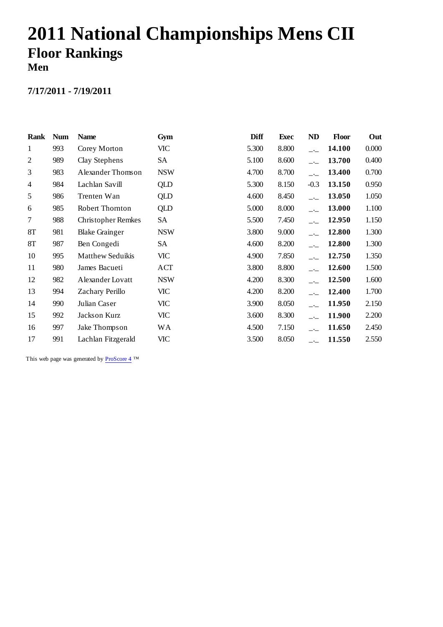# **2011 National Championships Mens CII Floor Rankings Men**

#### **7/17/2011 - 7/19/2011**

| Rank           | <b>Num</b> | <b>Name</b>               | Gym        | Diff  | Exec  | <b>ND</b>                | <b>Floor</b> | Out   |
|----------------|------------|---------------------------|------------|-------|-------|--------------------------|--------------|-------|
| 1              | 993        | Corey Morton              | VIC        | 5.300 | 8.800 | $-1$                     | 14.100       | 0.000 |
| $\overline{2}$ | 989        | Clay Stephens             | SA         | 5.100 | 8.600 |                          | 13.700       | 0.400 |
| 3              | 983        | Alexander Thomson         | <b>NSW</b> | 4.700 | 8.700 |                          | 13.400       | 0.700 |
| $\overline{4}$ | 984        | Lachlan Savill            | <b>QLD</b> | 5.300 | 8.150 | $-0.3$                   | 13.150       | 0.950 |
| 5              | 986        | Trenten Wan               | <b>QLD</b> | 4.600 | 8.450 |                          | 13.050       | 1.050 |
| 6              | 985        | Robert Thornton           | QLD        | 5.000 | 8.000 | $\overline{\phantom{a}}$ | 13.000       | 1.100 |
| 7              | 988        | <b>Christopher Remkes</b> | SA         | 5.500 | 7.450 | $-$                      | 12.950       | 1.150 |
| 8T             | 981        | <b>Blake Grainger</b>     | <b>NSW</b> | 3.800 | 9.000 | $-1$                     | 12.800       | 1.300 |
| 8T             | 987        | Ben Congedi               | SA         | 4.600 | 8.200 | $-1$                     | 12.800       | 1.300 |
| 10             | 995        | <b>Matthew Seduikis</b>   | VIC        | 4.900 | 7.850 | $-1$                     | 12.750       | 1.350 |
| 11             | 980        | James Bacueti             | ACT        | 3.800 | 8.800 | $-1$                     | 12.600       | 1.500 |
| 12             | 982        | Alexander Lovatt          | <b>NSW</b> | 4.200 | 8.300 |                          | 12.500       | 1.600 |
| 13             | 994        | Zachary Perillo           | VIC        | 4.200 | 8.200 |                          | 12.400       | 1.700 |
| 14             | 990        | Julian Caser              | VIC        | 3.900 | 8.050 |                          | 11.950       | 2.150 |
| 15             | 992        | Jackson Kurz              | VIC        | 3.600 | 8.300 |                          | 11.900       | 2.200 |
| 16             | 997        | Jake Thompson             | WА         | 4.500 | 7.150 |                          | 11.650       | 2.450 |
| 17             | 991        | Lachlan Fitzgerald        | VIC        | 3.500 | 8.050 | $-$                      | 11.550       | 2.550 |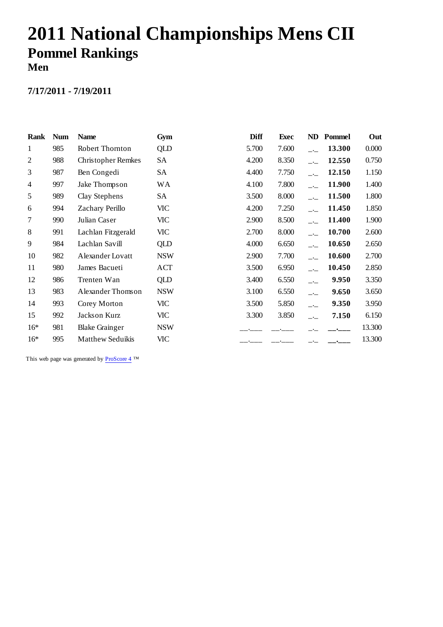# **2011 National Championships Mens CII Pommel Rankings Men**

#### **7/17/2011 - 7/19/2011**

| Rank           | <b>Num</b> | <b>Name</b>               | Gym        | Diff  | <b>Exec</b> | ND                       | Pommel | Out    |
|----------------|------------|---------------------------|------------|-------|-------------|--------------------------|--------|--------|
| $\mathbf{1}$   | 985        | Robert Thornton           | QLD        | 5.700 | 7.600       | $-1$                     | 13.300 | 0.000  |
| $\overline{c}$ | 988        | <b>Christopher Remkes</b> | SA         | 4.200 | 8.350       | $\overline{\phantom{a}}$ | 12.550 | 0.750  |
| 3              | 987        | Ben Congedi               | SA         | 4.400 | 7.750       |                          | 12.150 | 1.150  |
| 4              | 997        | Jake Thompson             | WА         | 4.100 | 7.800       | $\overline{\phantom{a}}$ | 11.900 | 1.400  |
| 5              | 989        | Clay Stephens             | SA         | 3.500 | 8.000       | $\overline{\phantom{a}}$ | 11.500 | 1.800  |
| 6              | 994        | Zachary Perillo           | VIC        | 4.200 | 7.250       | $\overline{\phantom{a}}$ | 11.450 | 1.850  |
| 7              | 990        | Julian Caser              | VIC        | 2.900 | 8.500       | $-1$                     | 11.400 | 1.900  |
| 8              | 991        | Lachlan Fitzgerald        | VIC        | 2.700 | 8.000       | $-1$                     | 10.700 | 2.600  |
| 9              | 984        | Lachlan Savill            | QLD        | 4.000 | 6.650       | $-\frac{1}{2}$           | 10.650 | 2.650  |
| 10             | 982        | Alexander Lovatt          | <b>NSW</b> | 2.900 | 7.700       | $\overline{\phantom{a}}$ | 10.600 | 2.700  |
| 11             | 980        | James Bacueti             | ACT        | 3.500 | 6.950       | $-$                      | 10.450 | 2.850  |
| 12             | 986        | Trenten Wan               | QLD        | 3.400 | 6.550       | $ -$                     | 9.950  | 3.350  |
| 13             | 983        | Alexander Thomson         | <b>NSW</b> | 3.100 | 6.550       | $-$                      | 9.650  | 3.650  |
| 14             | 993        | Corey Morton              | VIC        | 3.500 | 5.850       | $-$                      | 9.350  | 3.950  |
| 15             | 992        | Jackson Kurz              | VIC        | 3.300 | 3.850       | $ -$                     | 7.150  | 6.150  |
| $16*$          | 981        | <b>Blake Grainger</b>     | <b>NSW</b> |       |             |                          |        | 13.300 |
| $16*$          | 995        | <b>Matthew Seduikis</b>   | <b>VIC</b> |       |             |                          |        | 13.300 |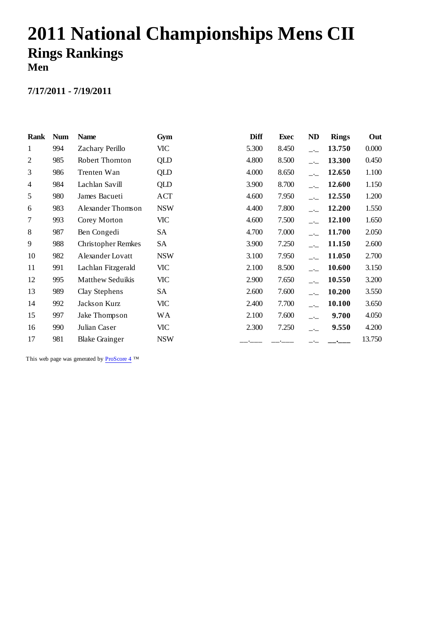# **2011 National Championships Mens CII Rings Rankings Men**

### **7/17/2011 - 7/19/2011**

| Rank           | <b>Num</b> | <b>Name</b>               | Gym        | Diff  | <b>Exec</b> | ND                       | <b>Rings</b> | Out    |
|----------------|------------|---------------------------|------------|-------|-------------|--------------------------|--------------|--------|
| 1              | 994        | Zachary Perillo           | VIC        | 5.300 | 8.450       | $-$                      | 13.750       | 0.000  |
| $\overline{2}$ | 985        | Robert Thornton           | QLD        | 4.800 | 8.500       | $\overline{\phantom{a}}$ | 13.300       | 0.450  |
| 3              | 986        | Trenten Wan               | QLD        | 4.000 | 8.650       |                          | 12.650       | 1.100  |
| 4              | 984        | Lachlan Savill            | QLD        | 3.900 | 8.700       | $\overline{\phantom{a}}$ | 12.600       | 1.150  |
| 5              | 980        | James Bacueti             | ACT        | 4.600 | 7.950       | $\overline{\phantom{a}}$ | 12.550       | 1.200  |
| 6              | 983        | Alexander Thomson         | <b>NSW</b> | 4.400 | 7.800       | $\overline{\phantom{a}}$ | 12.200       | 1.550  |
| 7              | 993        | Corey Morton              | VIC        | 4.600 | 7.500       | $-$                      | 12.100       | 1.650  |
| 8              | 987        | Ben Congedi               | SА         | 4.700 | 7.000       | $-\frac{1}{2}$           | 11.700       | 2.050  |
| 9              | 988        | <b>Christopher Remkes</b> | SA         | 3.900 | 7.250       | $-1$                     | 11.150       | 2.600  |
| 10             | 982        | Alexander Lovatt          | <b>NSW</b> | 3.100 | 7.950       | $-$                      | 11.050       | 2.700  |
| 11             | 991        | Lachlan Fitzgerald        | VIC        | 2.100 | 8.500       | $-$                      | 10.600       | 3.150  |
| 12             | 995        | <b>Matthew Seduikis</b>   | VIC        | 2.900 | 7.650       | $-$                      | 10.550       | 3.200  |
| 13             | 989        | Clay Stephens             | SA         | 2.600 | 7.600       | $\overline{\phantom{a}}$ | 10.200       | 3.550  |
| 14             | 992        | Jackson Kurz              | <b>VIC</b> | 2.400 | 7.700       | $\overline{\phantom{a}}$ | 10.100       | 3.650  |
| 15             | 997        | Jake Thompson             | <b>WA</b>  | 2.100 | 7.600       | $ -$                     | 9.700        | 4.050  |
| 16             | 990        | Julian Caser              | VIC        | 2.300 | 7.250       | $ -$                     | 9.550        | 4.200  |
| 17             | 981        | <b>Blake Grainger</b>     | <b>NSW</b> |       |             |                          |              | 13.750 |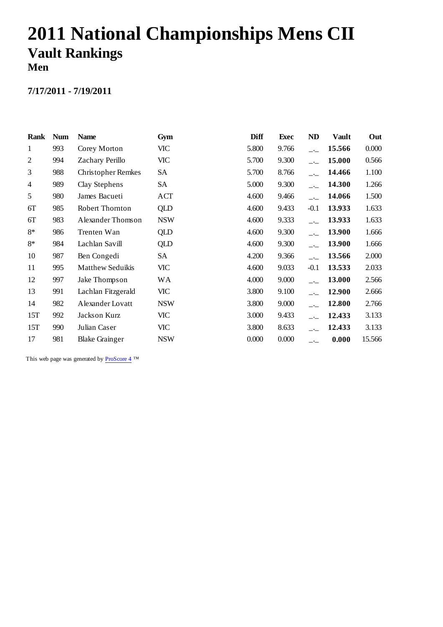# **2011 National Championships Mens CII Vault Rankings Men**

#### **7/17/2011 - 7/19/2011**

| Rank           | <b>Num</b> | <b>Name</b>               | Gym        | Diff  | Exec  | ND     | <b>Vault</b> | Out    |
|----------------|------------|---------------------------|------------|-------|-------|--------|--------------|--------|
| 1              | 993        | Corey Morton              | VIC        | 5.800 | 9.766 | $-1$   | 15.566       | 0.000  |
| $\overline{2}$ | 994        | Zachary Perillo           | VIC        | 5.700 | 9.300 |        | 15.000       | 0.566  |
| 3              | 988        | <b>Christopher Remkes</b> | SA         | 5.700 | 8.766 |        | 14.466       | 1.100  |
| $\overline{4}$ | 989        | Clay Stephens             | <b>SA</b>  | 5.000 | 9.300 |        | 14.300       | 1.266  |
| 5              | 980        | James Bacueti             | ACT        | 4.600 | 9.466 |        | 14.066       | 1.500  |
| 6T             | 985        | Robert Thornton           | QLD        | 4.600 | 9.433 | $-0.1$ | 13.933       | 1.633  |
| 6T             | 983        | Alexander Thomson         | <b>NSW</b> | 4.600 | 9.333 | $-$    | 13.933       | 1.633  |
| 8*             | 986        | Trenten Wan               | QLD        | 4.600 | 9.300 | $-1$   | 13.900       | 1.666  |
| 8*             | 984        | Lachlan Savill            | <b>QLD</b> | 4.600 | 9.300 | $ -$   | 13.900       | 1.666  |
| 10             | 987        | Ben Congedi               | SA         | 4.200 | 9.366 |        | 13.566       | 2.000  |
| 11             | 995        | <b>Matthew Seduikis</b>   | VIC        | 4.600 | 9.033 | $-0.1$ | 13.533       | 2.033  |
| 12             | 997        | Jake Thompson             | <b>WA</b>  | 4.000 | 9.000 | $ -$   | 13.000       | 2.566  |
| 13             | 991        | Lachlan Fitzgerald        | VIC        | 3.800 | 9.100 |        | 12.900       | 2.666  |
| 14             | 982        | Alexander Lovatt          | <b>NSW</b> | 3.800 | 9.000 |        | 12.800       | 2.766  |
| 15T            | 992        | Jackson Kurz              | VIC        | 3.000 | 9.433 |        | 12.433       | 3.133  |
| 15T            | 990        | Julian Caser              | VIC        | 3.800 | 8.633 |        | 12.433       | 3.133  |
| 17             | 981        | <b>Blake Grainger</b>     | <b>NSW</b> | 0.000 | 0.000 | $ -$   | 0.000        | 15.566 |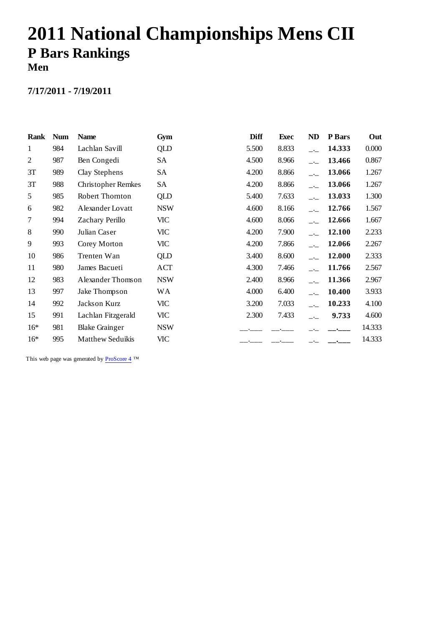# **2011 National Championships Mens CII P Bars Rankings Men**

#### **7/17/2011 - 7/19/2011**

| Rank           | <b>Num</b> | <b>Name</b>               | Gym        | <b>Diff</b> | <b>Exec</b> | ND                       | P Bars | Out    |
|----------------|------------|---------------------------|------------|-------------|-------------|--------------------------|--------|--------|
| 1              | 984        | Lachlan Savill            | QLD        | 5.500       | 8.833       | $-1$                     | 14.333 | 0.000  |
| $\overline{2}$ | 987        | Ben Congedi               | SA         | 4.500       | 8.966       |                          | 13.466 | 0.867  |
| 3T             | 989        | Clay Stephens             | SA         | 4.200       | 8.866       |                          | 13.066 | 1.267  |
| 3T             | 988        | <b>Christopher Remkes</b> | SA         | 4.200       | 8.866       | $\overline{\phantom{a}}$ | 13.066 | 1.267  |
| 5              | 985        | Robert Thornton           | QLD        | 5.400       | 7.633       | $ -$                     | 13.033 | 1.300  |
| 6              | 982        | Alexander Lovatt          | <b>NSW</b> | 4.600       | 8.166       | $\overline{\phantom{a}}$ | 12.766 | 1.567  |
| 7              | 994        | Zachary Perillo           | VIC        | 4.600       | 8.066       | $-$                      | 12.666 | 1.667  |
| 8              | 990        | Julian Caser              | VIC        | 4.200       | 7.900       | $-$                      | 12.100 | 2.233  |
| 9              | 993        | Corey Morton              | VIC        | 4.200       | 7.866       | $ -$                     | 12.066 | 2.267  |
| 10             | 986        | Trenten Wan               | QLD        | 3.400       | 8.600       | $-$                      | 12.000 | 2.333  |
| 11             | 980        | James Bacueti             | ACT        | 4.300       | 7.466       | $-1$                     | 11.766 | 2.567  |
| 12             | 983        | Alexander Thomson         | <b>NSW</b> | 2.400       | 8.966       | $\overline{\phantom{a}}$ | 11.366 | 2.967  |
| 13             | 997        | Jake Thompson             | <b>WA</b>  | 4.000       | 6.400       |                          | 10.400 | 3.933  |
| 14             | 992        | Jackson Kurz              | VIC        | 3.200       | 7.033       |                          | 10.233 | 4.100  |
| 15             | 991        | Lachlan Fitzgerald        | VIC        | 2.300       | 7.433       | $ -$                     | 9.733  | 4.600  |
| $16*$          | 981        | <b>Blake Grainger</b>     | <b>NSW</b> |             |             |                          |        | 14.333 |
| $16*$          | 995        | <b>Matthew Seduikis</b>   | <b>VIC</b> |             |             |                          |        | 14.333 |